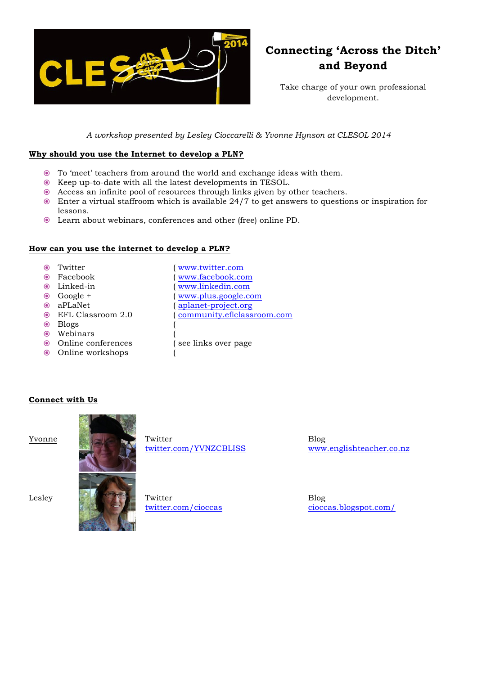

# **Connecting 'Across the Ditch' and Beyond**

Take charge of your own professional development.

*A workshop presented by Lesley Cioccarelli & Yvonne Hynson at CLESOL 2014*

## **Why should you use the Internet to develop a PLN?**

- To 'meet' teachers from around the world and exchange ideas with them.
- Keep up-to-date with all the latest developments in TESOL.
- Access an infinite pool of resources through links given by other teachers.
- Enter a virtual staffroom which is available 24/7 to get answers to questions or inspiration for lessons.
- Learn about webinars, conferences and other (free) online PD.

## **How can you use the internet to develop a PLN?**

- Twitter ( www.twitter.com )<br>● Facebook ( www.facebook.com )
- 
- 
- 
- 
- 
- Blogs (
- Webinars (
- Online conferences ( see links over page
- $\odot$  Online workshops
- Linked-in ( www.linkedin.com Google + ( www.plus.google.com (aplanet-project.org) EFL Classroom 2.0 ( community.eflclassroom.com

( www.facebook.com

## **Connect with Us**



twitter.com/YVNZCBLISS

Blog www.englishteacher.co.nz



twitter.com/cioccas

Blog cioccas.blogspot.com/